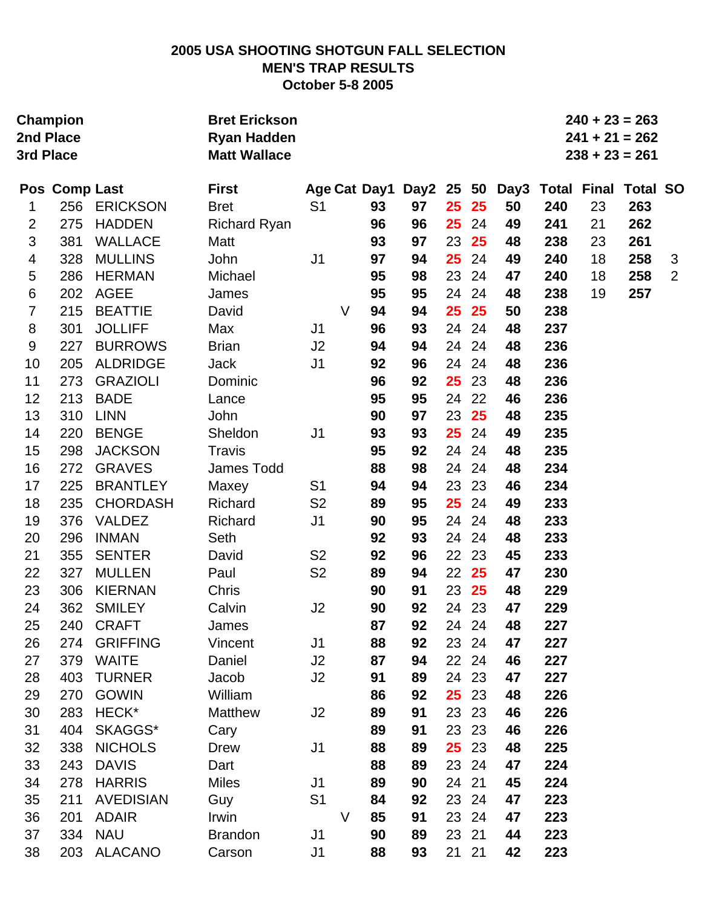## **2005 USA SHOOTING SHOTGUN FALL SELECTION MEN'S TRAP RESULTS October 5-8 2005**

| <b>Champion</b><br>2nd Place<br>3rd Place |               | <b>Bret Erickson</b><br><b>Ryan Hadden</b><br><b>Matt Wallace</b> |                     |                |        |              |            |       |     |      | $240 + 23 = 263$<br>$241 + 21 = 262$<br>$238 + 23 = 261$ |                             |     |                |
|-------------------------------------------|---------------|-------------------------------------------------------------------|---------------------|----------------|--------|--------------|------------|-------|-----|------|----------------------------------------------------------|-----------------------------|-----|----------------|
|                                           | Pos Comp Last |                                                                   | <b>First</b>        |                |        | Age Cat Day1 | Day2 25 50 |       |     | Day3 |                                                          | <b>Total Final Total SO</b> |     |                |
| 1                                         | 256           | <b>ERICKSON</b>                                                   | <b>Bret</b>         | S <sub>1</sub> |        | 93           | 97         | 25    | 25  | 50   | 240                                                      | 23                          | 263 |                |
| $\overline{2}$                            | 275           | <b>HADDEN</b>                                                     | <b>Richard Ryan</b> |                |        | 96           | 96         | 25    | 24  | 49   | 241                                                      | 21                          | 262 |                |
| 3                                         | 381           | <b>WALLACE</b>                                                    | Matt                |                |        | 93           | 97         | 23    | 25  | 48   | 238                                                      | 23                          | 261 |                |
| 4                                         | 328           | <b>MULLINS</b>                                                    | John                | J <sub>1</sub> |        | 97           | 94         | 25    | 24  | 49   | 240                                                      | 18                          | 258 | 3              |
| 5                                         | 286           | <b>HERMAN</b>                                                     | Michael             |                |        | 95           | 98         | 23    | 24  | 47   | 240                                                      | 18                          | 258 | $\overline{2}$ |
| 6                                         | 202           | <b>AGEE</b>                                                       | James               |                |        | 95           | 95         | 24    | 24  | 48   | 238                                                      | 19                          | 257 |                |
| $\overline{7}$                            | 215           | <b>BEATTIE</b>                                                    | David               |                | V      | 94           | 94         | 25    | 25  | 50   | 238                                                      |                             |     |                |
| 8                                         | 301           | <b>JOLLIFF</b>                                                    | Max                 | J <sub>1</sub> |        | 96           | 93         | 24    | 24  | 48   | 237                                                      |                             |     |                |
| 9                                         | 227           | <b>BURROWS</b>                                                    | <b>Brian</b>        | J <sub>2</sub> |        | 94           | 94         | 24    | 24  | 48   | 236                                                      |                             |     |                |
| 10                                        | 205           | <b>ALDRIDGE</b>                                                   | Jack                | J <sub>1</sub> |        | 92           | 96         | 24    | 24  | 48   | 236                                                      |                             |     |                |
| 11                                        | 273           | <b>GRAZIOLI</b>                                                   | Dominic             |                |        | 96           | 92         | 25    | 23  | 48   | 236                                                      |                             |     |                |
| 12                                        | 213           | <b>BADE</b>                                                       | Lance               |                |        | 95           | 95         | 24    | 22  | 46   | 236                                                      |                             |     |                |
| 13                                        | 310           | <b>LINN</b>                                                       | John                |                |        | 90           | 97         | 23    | 25  | 48   | 235                                                      |                             |     |                |
| 14                                        | 220           | <b>BENGE</b>                                                      | Sheldon             | J <sub>1</sub> |        | 93           | 93         | 25    | 24  | 49   | 235                                                      |                             |     |                |
| 15                                        | 298           | <b>JACKSON</b>                                                    | <b>Travis</b>       |                |        | 95           | 92         | 24    | 24  | 48   | 235                                                      |                             |     |                |
| 16                                        | 272           | <b>GRAVES</b>                                                     | <b>James Todd</b>   |                |        | 88           | 98         | 24    | 24  | 48   | 234                                                      |                             |     |                |
| 17                                        | 225           | <b>BRANTLEY</b>                                                   | Maxey               | S <sub>1</sub> |        | 94           | 94         | 23    | 23  | 46   | 234                                                      |                             |     |                |
| 18                                        | 235           | <b>CHORDASH</b>                                                   | Richard             | S <sub>2</sub> |        | 89           | 95         | 25    | 24  | 49   | 233                                                      |                             |     |                |
| 19                                        | 376           | <b>VALDEZ</b>                                                     | Richard             | J <sub>1</sub> |        | 90           | 95         | 24    | 24  | 48   | 233                                                      |                             |     |                |
| 20                                        | 296           | <b>INMAN</b>                                                      | Seth                |                |        | 92           | 93         | 24    | 24  | 48   | 233                                                      |                             |     |                |
| 21                                        | 355           | <b>SENTER</b>                                                     | David               | S <sub>2</sub> |        | 92           | 96         | 22    | 23  | 45   | 233                                                      |                             |     |                |
| 22                                        | 327           | <b>MULLEN</b>                                                     | Paul                | S <sub>2</sub> |        | 89           | 94         | 22    | 25  | 47   | 230                                                      |                             |     |                |
| 23                                        | 306           | <b>KIERNAN</b>                                                    | Chris               |                |        | 90           | 91         | 23    | 25  | 48   | 229                                                      |                             |     |                |
| 24                                        | 362           | <b>SMILEY</b>                                                     | Calvin              | J2             |        | 90           | 92         | 24 23 |     | 47   | 229                                                      |                             |     |                |
| 25                                        | 240           | <b>CRAFT</b>                                                      | James               |                |        | 87           | 92         | 24 24 |     | 48   | 227                                                      |                             |     |                |
| 26                                        | 274           | <b>GRIFFING</b>                                                   | Vincent             | J <sub>1</sub> |        | 88           | 92         | 23    | 24  | 47   | 227                                                      |                             |     |                |
| 27                                        | 379           | <b>WAITE</b>                                                      | Daniel              | J2             |        | 87           | 94         | 22 24 |     | 46   | 227                                                      |                             |     |                |
| 28                                        | 403           | <b>TURNER</b>                                                     | Jacob               | J <sub>2</sub> |        | 91           | 89         | 24    | 23  | 47   | 227                                                      |                             |     |                |
| 29                                        | 270           | <b>GOWIN</b>                                                      | William             |                |        | 86           | 92         | 25    | 23  | 48   | 226                                                      |                             |     |                |
| 30                                        | 283           | HECK*                                                             | Matthew             | J2             |        | 89           | 91         | 23    | 23  | 46   | 226                                                      |                             |     |                |
| 31                                        | 404           | SKAGGS*                                                           | Cary                |                |        | 89           | 91         | 23    | 23  | 46   | 226                                                      |                             |     |                |
| 32                                        | 338           | <b>NICHOLS</b>                                                    | <b>Drew</b>         | J <sub>1</sub> |        | 88           | 89         | 25    | 23  | 48   | 225                                                      |                             |     |                |
| 33                                        | 243           | <b>DAVIS</b>                                                      | Dart                |                |        | 88           | 89         | 23    | -24 | 47   | 224                                                      |                             |     |                |
| 34                                        | 278           | <b>HARRIS</b>                                                     | <b>Miles</b>        | J <sub>1</sub> |        | 89           | 90         | 24    | 21  | 45   | 224                                                      |                             |     |                |
| 35                                        | 211           | <b>AVEDISIAN</b>                                                  | Guy                 | S <sub>1</sub> |        | 84           | 92         | 23    | 24  | 47   | 223                                                      |                             |     |                |
| 36                                        | 201           | <b>ADAIR</b>                                                      | Irwin               |                | $\vee$ | 85           | 91         | 23    | 24  | 47   | 223                                                      |                             |     |                |
| 37                                        | 334           | <b>NAU</b>                                                        | <b>Brandon</b>      | J <sub>1</sub> |        | 90           | 89         | 23    | 21  | 44   | 223                                                      |                             |     |                |
| 38                                        | 203           | <b>ALACANO</b>                                                    | Carson              | J1             |        | 88           | 93         | 21 21 |     | 42   | 223                                                      |                             |     |                |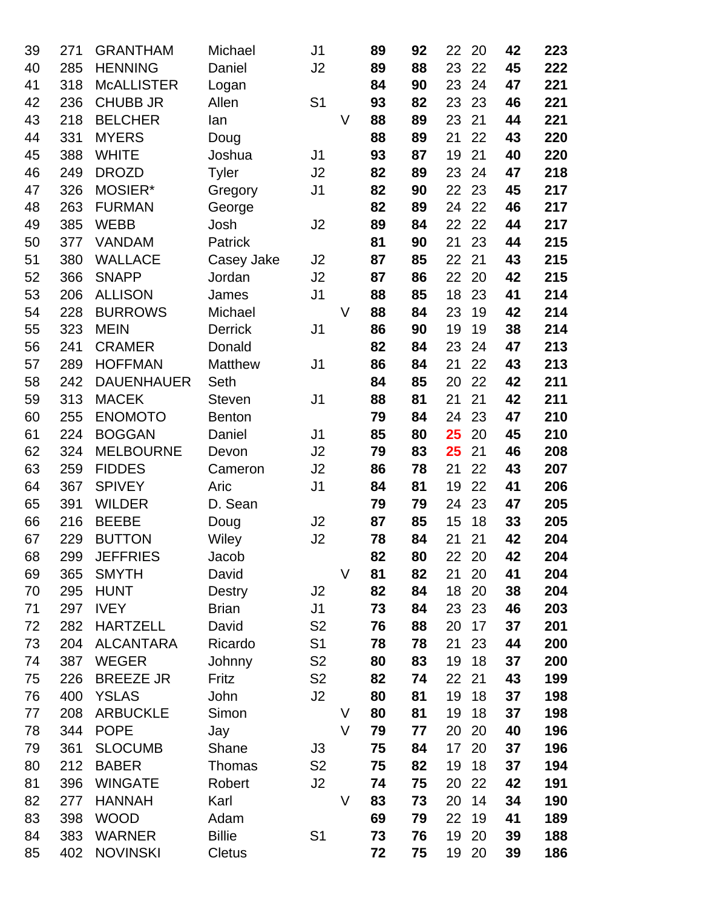| 39       | 271        | <b>GRANTHAM</b>                  | Michael        | J <sub>1</sub> |   | 89       | 92       | 22       | 20       | 42       | 223        |
|----------|------------|----------------------------------|----------------|----------------|---|----------|----------|----------|----------|----------|------------|
| 40       | 285        | <b>HENNING</b>                   | Daniel         | J2             |   | 89       | 88       | 23       | 22       | 45       | 222        |
| 41       | 318        | <b>McALLISTER</b>                | Logan          |                |   | 84       | 90       | 23       | 24       | 47       | 221        |
| 42       | 236        | <b>CHUBB JR</b>                  | Allen          | S <sub>1</sub> |   | 93       | 82       | 23       | 23       | 46       | 221        |
| 43       | 218        | <b>BELCHER</b>                   | lan            |                | V | 88       | 89       | 23       | 21       | 44       | 221        |
| 44       | 331        | <b>MYERS</b>                     | Doug           |                |   | 88       | 89       | 21       | 22       | 43       | 220        |
| 45       | 388        | <b>WHITE</b>                     | Joshua         | J <sub>1</sub> |   | 93       | 87       | 19       | 21       | 40       | 220        |
| 46       | 249        | <b>DROZD</b>                     | <b>Tyler</b>   | J2             |   | 82       | 89       | 23       | 24       | 47       | 218        |
| 47       | 326        | MOSIER*                          | Gregory        | J <sub>1</sub> |   | 82       | 90       | 22       | 23       | 45       | 217        |
| 48       | 263        | <b>FURMAN</b>                    | George         |                |   | 82       | 89       | 24       | 22       | 46       | 217        |
| 49       | 385        | <b>WEBB</b>                      | Josh           | J2             |   | 89       | 84       | 22       | 22       | 44       | 217        |
| 50       | 377        | <b>VANDAM</b>                    | Patrick        |                |   | 81       | 90       | 21       | 23       | 44       | 215        |
| 51       | 380        | <b>WALLACE</b>                   | Casey Jake     | J <sub>2</sub> |   | 87       | 85       | 22       | 21       | 43       | 215        |
| 52       | 366        | <b>SNAPP</b>                     | Jordan         | J2             |   | 87       | 86       | 22       | 20       | 42       | 215        |
| 53       | 206        | <b>ALLISON</b>                   | James          | J <sub>1</sub> |   | 88       | 85       | 18       | 23       | 41       | 214        |
| 54       | 228        | <b>BURROWS</b>                   | Michael        |                | V | 88       | 84       | 23       | 19       | 42       | 214        |
| 55       | 323        | <b>MEIN</b>                      | <b>Derrick</b> | J <sub>1</sub> |   | 86       | 90       | 19       | 19       | 38       | 214        |
| 56       | 241        | <b>CRAMER</b>                    | Donald         |                |   | 82       | 84       | 23       | 24       | 47       | 213        |
| 57       | 289        | <b>HOFFMAN</b>                   | <b>Matthew</b> | J1             |   | 86       | 84       | 21       | 22       | 43       | 213        |
| 58       | 242        | <b>DAUENHAUER</b>                | Seth           |                |   | 84       | 85       | 20       | 22       | 42       | 211        |
| 59       | 313        | <b>MACEK</b>                     | <b>Steven</b>  | J <sub>1</sub> |   | 88       | 81       | 21       | 21       | 42       | 211        |
| 60       | 255        | <b>ENOMOTO</b>                   | <b>Benton</b>  |                |   | 79       | 84       | 24       | 23       | 47       | 210        |
| 61       | 224        | <b>BOGGAN</b>                    | Daniel         | J1             |   | 85       | 80       | 25       | 20       | 45       | 210        |
| 62       | 324        | <b>MELBOURNE</b>                 | Devon          | J2             |   | 79       | 83       | 25       | 21       | 46       | 208        |
| 63       | 259        | <b>FIDDES</b>                    | Cameron        | J <sub>2</sub> |   | 86       | 78       | 21       | 22       | 43       | 207        |
| 64       | 367        | <b>SPIVEY</b>                    | Aric           | J <sub>1</sub> |   | 84       | 81       | 19       | 22       | 41       | 206        |
| 65       | 391        | <b>WILDER</b>                    | D. Sean        |                |   | 79       | 79       | 24       | 23       | 47       | 205        |
| 66       | 216        | <b>BEEBE</b>                     | Doug           | J2             |   | 87       | 85       | 15       | 18       | 33       | 205        |
| 67       | 229        | <b>BUTTON</b>                    | Wiley          | J <sub>2</sub> |   | 78       | 84       | 21       | 21       | 42       | 204        |
| 68       | 299        | <b>JEFFRIES</b>                  | Jacob          |                |   | 82       | 80       | 22       | 20       | 42       | 204        |
| 69       | 365        | <b>SMYTH</b>                     | David          |                | V | 81       | 82       | 21       | 20       | 41       | 204        |
| 70       | 295        | <b>HUNT</b>                      | <b>Destry</b>  | J2             |   | 82       | 84       | 18       | 20       | 38       | 204        |
| 71       | 297        | <b>IVEY</b>                      | <b>Brian</b>   | J <sub>1</sub> |   | 73       | 84       | 23       | 23       | 46       | 203        |
| 72       | 282        | <b>HARTZELL</b>                  | David          | S <sub>2</sub> |   | 76       | 88       | 20       | 17       | 37       | 201        |
| 73       | 204        | <b>ALCANTARA</b>                 | Ricardo        | S <sub>1</sub> |   | 78       | 78       | 21       | 23       | 44       | 200        |
| 74       | 387        | <b>WEGER</b><br><b>BREEZE JR</b> | Johnny         | S <sub>2</sub> |   | 80       | 83       | 19       | 18       | 37       | 200        |
| 75       | 226        |                                  | Fritz          | S <sub>2</sub> |   | 82       | 74       | 22       | 21       | 43       | 199        |
| 76       | 400        | <b>YSLAS</b>                     | John           | J2             | V | 80       | 81       | 19       | 18       | 37       | 198        |
| 77       | 208<br>344 | <b>ARBUCKLE</b><br><b>POPE</b>   | Simon          |                | V | 80<br>79 | 81       | 19<br>20 | 18<br>20 | 37<br>40 | 198<br>196 |
| 78<br>79 | 361        | <b>SLOCUMB</b>                   | Jay<br>Shane   | J3             |   | 75       | 77<br>84 | 17       | 20       | 37       | 196        |
| 80       | 212        | <b>BABER</b>                     | <b>Thomas</b>  | S <sub>2</sub> |   | 75       | 82       | 19       | 18       | 37       | 194        |
| 81       | 396        | <b>WINGATE</b>                   | Robert         | J <sub>2</sub> |   | 74       | 75       | 20       | 22       | 42       | 191        |
| 82       | 277        | <b>HANNAH</b>                    | Karl           |                | V | 83       | 73       | 20       | 14       | 34       | 190        |
| 83       | 398        | <b>WOOD</b>                      | Adam           |                |   | 69       | 79       | 22       | 19       | 41       | 189        |
| 84       | 383        | <b>WARNER</b>                    | <b>Billie</b>  | S <sub>1</sub> |   | 73       | 76       | 19       | 20       | 39       | 188        |
| 85       | 402        | <b>NOVINSKI</b>                  | <b>Cletus</b>  |                |   | 72       | 75       | 19       | 20       | 39       | 186        |
|          |            |                                  |                |                |   |          |          |          |          |          |            |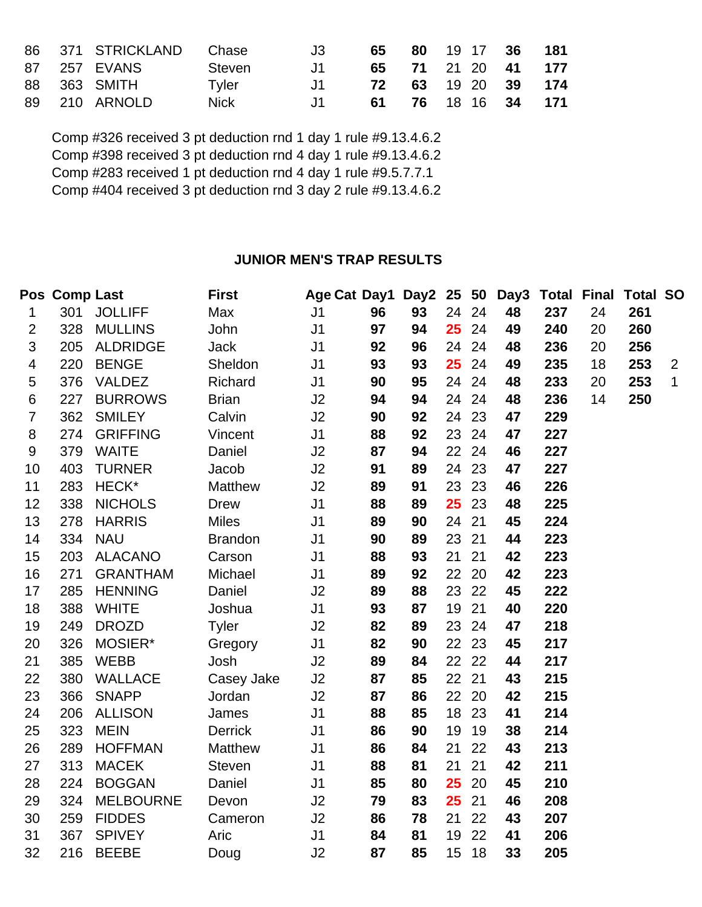|  | 86 371 STRICKLAND Chase |             | .13               | 65 | 80 19 17 36 181    |  |
|--|-------------------------|-------------|-------------------|----|--------------------|--|
|  | 87 257 EVANS            | Steven      | . . 11            |    | 65 71 21 20 41 177 |  |
|  | 88 363 SMITH            | Tyler       | $\blacksquare$ 11 |    | 72 63 19 20 39 174 |  |
|  | 89 210 ARNOLD           | <b>Nick</b> | $.11 -$           |    | 61 76 18 16 34 171 |  |

Comp #326 received 3 pt deduction rnd 1 day 1 rule #9.13.4.6.2 Comp #398 received 3 pt deduction rnd 4 day 1 rule #9.13.4.6.2 Comp #283 received 1 pt deduction rnd 4 day 1 rule #9.5.7.7.1 Comp #404 received 3 pt deduction rnd 3 day 2 rule #9.13.4.6.2

## **JUNIOR MEN'S TRAP RESULTS**

|                | Pos Comp Last |                  | <b>First</b>   | Age Cat Day1 Day2 25 50 |    |    |    |       | Day3 | <b>Total Final</b> |    | <b>Total SO</b> |                |
|----------------|---------------|------------------|----------------|-------------------------|----|----|----|-------|------|--------------------|----|-----------------|----------------|
| 1              | 301           | <b>JOLLIFF</b>   | Max            | J <sub>1</sub>          | 96 | 93 | 24 | 24    | 48   | 237                | 24 | 261             |                |
| 2              | 328           | <b>MULLINS</b>   | John           | J <sub>1</sub>          | 97 | 94 | 25 | 24    | 49   | 240                | 20 | 260             |                |
| 3              | 205           | <b>ALDRIDGE</b>  | <b>Jack</b>    | J <sub>1</sub>          | 92 | 96 | 24 | 24    | 48   | 236                | 20 | 256             |                |
| 4              | 220           | <b>BENGE</b>     | Sheldon        | J <sub>1</sub>          | 93 | 93 | 25 | 24    | 49   | 235                | 18 | 253             | $\overline{2}$ |
| 5              | 376           | <b>VALDEZ</b>    | Richard        | J <sub>1</sub>          | 90 | 95 | 24 | 24    | 48   | 233                | 20 | 253             | $\mathbf{1}$   |
| 6              | 227           | <b>BURROWS</b>   | <b>Brian</b>   | J2                      | 94 | 94 | 24 | 24    | 48   | 236                | 14 | 250             |                |
| $\overline{7}$ | 362           | <b>SMILEY</b>    | Calvin         | J2                      | 90 | 92 |    | 24 23 | 47   | 229                |    |                 |                |
| 8              | 274           | <b>GRIFFING</b>  | Vincent        | J <sub>1</sub>          | 88 | 92 | 23 | 24    | 47   | 227                |    |                 |                |
| 9              | 379           | <b>WAITE</b>     | Daniel         | J2                      | 87 | 94 | 22 | 24    | 46   | 227                |    |                 |                |
| 10             | 403           | <b>TURNER</b>    | Jacob          | J2                      | 91 | 89 | 24 | 23    | 47   | 227                |    |                 |                |
| 11             | 283           | HECK*            | <b>Matthew</b> | J2                      | 89 | 91 | 23 | 23    | 46   | 226                |    |                 |                |
| 12             | 338           | <b>NICHOLS</b>   | <b>Drew</b>    | J <sub>1</sub>          | 88 | 89 | 25 | 23    | 48   | 225                |    |                 |                |
| 13             | 278           | <b>HARRIS</b>    | <b>Miles</b>   | J <sub>1</sub>          | 89 | 90 | 24 | 21    | 45   | 224                |    |                 |                |
| 14             | 334           | <b>NAU</b>       | <b>Brandon</b> | J <sub>1</sub>          | 90 | 89 | 23 | 21    | 44   | 223                |    |                 |                |
| 15             | 203           | <b>ALACANO</b>   | Carson         | J <sub>1</sub>          | 88 | 93 | 21 | 21    | 42   | 223                |    |                 |                |
| 16             | 271           | <b>GRANTHAM</b>  | Michael        | J <sub>1</sub>          | 89 | 92 | 22 | 20    | 42   | 223                |    |                 |                |
| 17             | 285           | <b>HENNING</b>   | Daniel         | J2                      | 89 | 88 |    | 23 22 | 45   | 222                |    |                 |                |
| 18             | 388           | <b>WHITE</b>     | Joshua         | J <sub>1</sub>          | 93 | 87 | 19 | 21    | 40   | 220                |    |                 |                |
| 19             | 249           | <b>DROZD</b>     | <b>Tyler</b>   | J2                      | 82 | 89 | 23 | 24    | 47   | 218                |    |                 |                |
| 20             | 326           | MOSIER*          | Gregory        | J <sub>1</sub>          | 82 | 90 | 22 | 23    | 45   | 217                |    |                 |                |
| 21             | 385           | <b>WEBB</b>      | Josh           | J2                      | 89 | 84 |    | 22 22 | 44   | 217                |    |                 |                |
| 22             | 380           | <b>WALLACE</b>   | Casey Jake     | J2                      | 87 | 85 | 22 | 21    | 43   | 215                |    |                 |                |
| 23             | 366           | <b>SNAPP</b>     | Jordan         | J2                      | 87 | 86 |    | 22 20 | 42   | 215                |    |                 |                |
| 24             | 206           | <b>ALLISON</b>   | James          | J <sub>1</sub>          | 88 | 85 | 18 | 23    | 41   | 214                |    |                 |                |
| 25             | 323           | <b>MEIN</b>      | <b>Derrick</b> | J <sub>1</sub>          | 86 | 90 | 19 | 19    | 38   | 214                |    |                 |                |
| 26             | 289           | <b>HOFFMAN</b>   | Matthew        | J <sub>1</sub>          | 86 | 84 | 21 | 22    | 43   | 213                |    |                 |                |
| 27             | 313           | <b>MACEK</b>     | Steven         | J <sub>1</sub>          | 88 | 81 | 21 | 21    | 42   | 211                |    |                 |                |
| 28             | 224           | <b>BOGGAN</b>    | Daniel         | J <sub>1</sub>          | 85 | 80 | 25 | 20    | 45   | 210                |    |                 |                |
| 29             | 324           | <b>MELBOURNE</b> | Devon          | J2                      | 79 | 83 | 25 | 21    | 46   | 208                |    |                 |                |
| 30             | 259           | <b>FIDDES</b>    | Cameron        | J2                      | 86 | 78 | 21 | 22    | 43   | 207                |    |                 |                |
| 31             | 367           | <b>SPIVEY</b>    | Aric           | J <sub>1</sub>          | 84 | 81 | 19 | 22    | 41   | 206                |    |                 |                |
| 32             | 216           | <b>BEEBE</b>     | Doug           | J2                      | 87 | 85 | 15 | 18    | 33   | 205                |    |                 |                |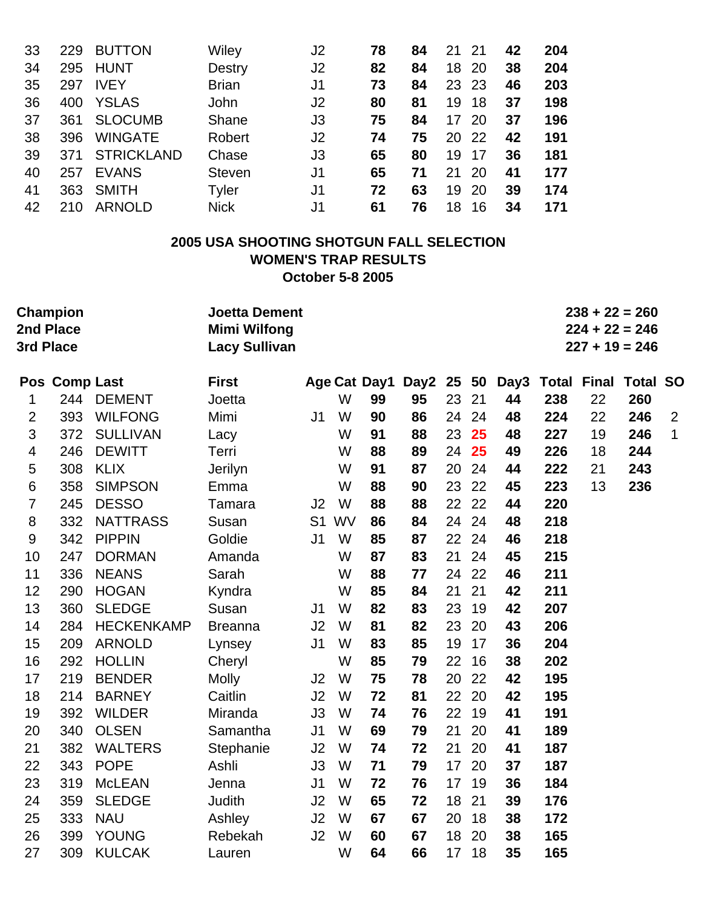| 33 | 229 | <b>BUTTON</b>     | Wiley         | J2             | 78 | 84 | 21 | -21       | 42 | 204 |
|----|-----|-------------------|---------------|----------------|----|----|----|-----------|----|-----|
| 34 | 295 | <b>HUNT</b>       | <b>Destry</b> | J <sub>2</sub> | 82 | 84 | 18 | 20        | 38 | 204 |
| 35 | 297 | <b>IVEY</b>       | <b>Brian</b>  | J1             | 73 | 84 | 23 | -23       | 46 | 203 |
| 36 | 400 | <b>YSLAS</b>      | <b>John</b>   | J <sub>2</sub> | 80 | 81 | 19 | 18        | 37 | 198 |
| 37 | 361 | <b>SLOCUMB</b>    | Shane         | J3             | 75 | 84 | 17 | 20        | 37 | 196 |
| 38 | 396 | <b>WINGATE</b>    | Robert        | J <sub>2</sub> | 74 | 75 | 20 | -22       | 42 | 191 |
| 39 | 371 | <b>STRICKLAND</b> | Chase         | J3             | 65 | 80 | 19 | -17       | 36 | 181 |
| 40 | 257 | <b>EVANS</b>      | <b>Steven</b> | J1             | 65 | 71 | 21 | <b>20</b> | 41 | 177 |
| 41 | 363 | <b>SMITH</b>      | Tyler         | J1             | 72 | 63 | 19 | 20        | 39 | 174 |
| 42 | 210 | <b>ARNOLD</b>     | <b>Nick</b>   | J1             | 61 | 76 | 18 | 16        | 34 | 171 |

# **2005 USA SHOOTING SHOTGUN FALL SELECTION WOMEN'S TRAP RESULTS October 5-8 2005**

| 3rd Place      | Champion<br>2nd Place |                   | <b>Joetta Dement</b><br><b>Mimi Wilfong</b><br><b>Lacy Sullivan</b> |                |       |              |            |    |    |    |                           |    | $238 + 22 = 260$<br>$224 + 22 = 246$<br>$227 + 19 = 246$ |              |
|----------------|-----------------------|-------------------|---------------------------------------------------------------------|----------------|-------|--------------|------------|----|----|----|---------------------------|----|----------------------------------------------------------|--------------|
|                | Pos Comp Last         |                   | <b>First</b>                                                        |                |       | Age Cat Day1 | Day2 25 50 |    |    |    | Day3 Total Final Total SO |    |                                                          |              |
| 1              |                       | 244 DEMENT        | Joetta                                                              |                | W     | 99           | 95         | 23 | 21 | 44 | 238                       | 22 | 260                                                      |              |
| $\overline{2}$ | 393                   | <b>WILFONG</b>    | Mimi                                                                | J1             | W     | 90           | 86         | 24 | 24 | 48 | 224                       | 22 | 246                                                      | 2            |
| 3              | 372                   | <b>SULLIVAN</b>   | Lacy                                                                |                | W     | 91           | 88         | 23 | 25 | 48 | 227                       | 19 | 246                                                      | $\mathbf{1}$ |
| 4              | 246                   | <b>DEWITT</b>     | Terri                                                               |                | W     | 88           | 89         | 24 | 25 | 49 | 226                       | 18 | 244                                                      |              |
| 5              | 308                   | <b>KLIX</b>       | Jerilyn                                                             |                | W     | 91           | 87         | 20 | 24 | 44 | 222                       | 21 | 243                                                      |              |
| 6              | 358                   | <b>SIMPSON</b>    | Emma                                                                |                | W     | 88           | 90         | 23 | 22 | 45 | 223                       | 13 | 236                                                      |              |
| 7              | 245                   | <b>DESSO</b>      | Tamara                                                              | J2             | W     | 88           | 88         | 22 | 22 | 44 | 220                       |    |                                                          |              |
| 8              | 332                   | <b>NATTRASS</b>   | Susan                                                               |                | S1 WV | 86           | 84         | 24 | 24 | 48 | 218                       |    |                                                          |              |
| 9              | 342                   | <b>PIPPIN</b>     | Goldie                                                              | J <sub>1</sub> | W     | 85           | 87         | 22 | 24 | 46 | 218                       |    |                                                          |              |
| 10             | 247                   | <b>DORMAN</b>     | Amanda                                                              |                | W     | 87           | 83         | 21 | 24 | 45 | 215                       |    |                                                          |              |
| 11             | 336                   | <b>NEANS</b>      | Sarah                                                               |                | W     | 88           | 77         | 24 | 22 | 46 | 211                       |    |                                                          |              |
| 12             | 290                   | <b>HOGAN</b>      | Kyndra                                                              |                | W     | 85           | 84         | 21 | 21 | 42 | 211                       |    |                                                          |              |
| 13             | 360                   | <b>SLEDGE</b>     | Susan                                                               | J1             | W     | 82           | 83         | 23 | 19 | 42 | 207                       |    |                                                          |              |
| 14             | 284                   | <b>HECKENKAMP</b> | <b>Breanna</b>                                                      | J2             | W     | 81           | 82         | 23 | 20 | 43 | 206                       |    |                                                          |              |
| 15             | 209                   | <b>ARNOLD</b>     | Lynsey                                                              | J <sub>1</sub> | W     | 83           | 85         | 19 | 17 | 36 | 204                       |    |                                                          |              |
| 16             | 292                   | <b>HOLLIN</b>     | Cheryl                                                              |                | W     | 85           | 79         | 22 | 16 | 38 | 202                       |    |                                                          |              |
| 17             | 219                   | <b>BENDER</b>     | <b>Molly</b>                                                        | J2             | W     | 75           | 78         | 20 | 22 | 42 | 195                       |    |                                                          |              |
| 18             | 214                   | <b>BARNEY</b>     | Caitlin                                                             | J2             | W     | 72           | 81         | 22 | 20 | 42 | 195                       |    |                                                          |              |
| 19             | 392                   | <b>WILDER</b>     | Miranda                                                             | J3             | W     | 74           | 76         | 22 | 19 | 41 | 191                       |    |                                                          |              |
| 20             | 340                   | <b>OLSEN</b>      | Samantha                                                            | J <sub>1</sub> | W     | 69           | 79         | 21 | 20 | 41 | 189                       |    |                                                          |              |
| 21             | 382                   | <b>WALTERS</b>    | Stephanie                                                           | J2             | W     | 74           | 72         | 21 | 20 | 41 | 187                       |    |                                                          |              |
| 22             | 343                   | <b>POPE</b>       | Ashli                                                               | J3             | W     | 71           | 79         | 17 | 20 | 37 | 187                       |    |                                                          |              |
| 23             | 319                   | <b>McLEAN</b>     | Jenna                                                               | J <sub>1</sub> | W     | 72           | 76         | 17 | 19 | 36 | 184                       |    |                                                          |              |
| 24             | 359                   | <b>SLEDGE</b>     | <b>Judith</b>                                                       | J2             | W     | 65           | 72         | 18 | 21 | 39 | 176                       |    |                                                          |              |
| 25             | 333                   | <b>NAU</b>        | Ashley                                                              | J2             | W     | 67           | 67         | 20 | 18 | 38 | 172                       |    |                                                          |              |
| 26             | 399                   | <b>YOUNG</b>      | Rebekah                                                             | J2             | W     | 60           | 67         | 18 | 20 | 38 | 165                       |    |                                                          |              |
| 27             | 309                   | <b>KULCAK</b>     | Lauren                                                              |                | W     | 64           | 66         | 17 | 18 | 35 | 165                       |    |                                                          |              |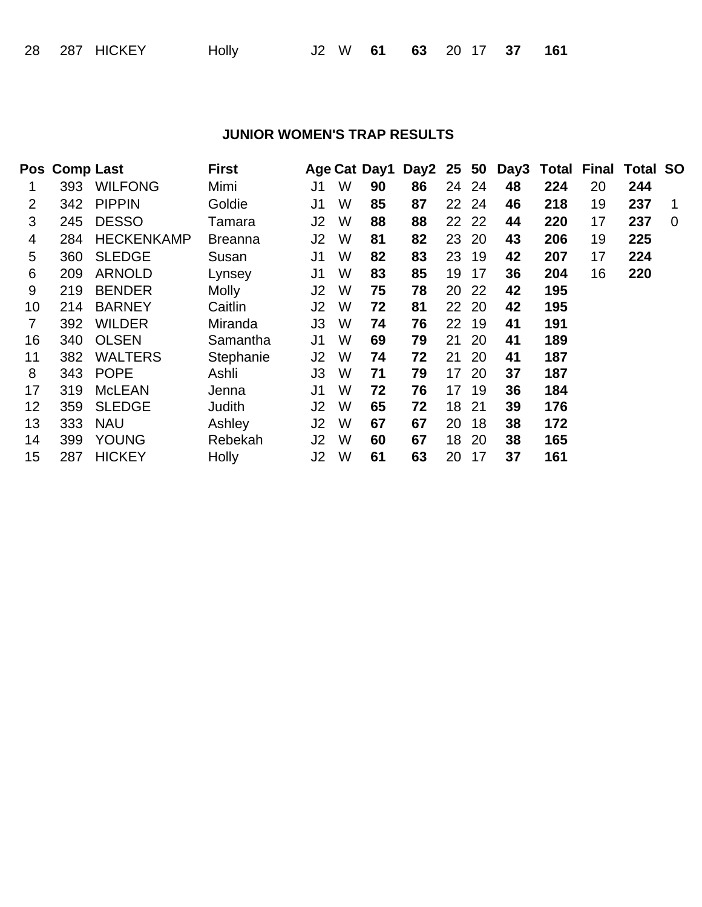## **JUNIOR WOMEN'S TRAP RESULTS**

|    | Pos Comp Last |                   | <b>First</b>   |                |   | Age Cat Day1 | Day2 25 50 |    |       |    | Day3 Total Final Total SO |    |     |                |
|----|---------------|-------------------|----------------|----------------|---|--------------|------------|----|-------|----|---------------------------|----|-----|----------------|
| 1  | 393           | <b>WILFONG</b>    | Mimi           | J1             | W | 90           | 86         |    | 24 24 | 48 | 224                       | 20 | 244 |                |
| 2  | 342           | <b>PIPPIN</b>     | Goldie         | J1             | W | 85           | 87         |    | 22 24 | 46 | 218                       | 19 | 237 | 1              |
| 3  | 245           | <b>DESSO</b>      | Tamara         | J2             | W | 88           | 88         |    | 22 22 | 44 | 220                       | 17 | 237 | $\overline{0}$ |
| 4  | 284           | <b>HECKENKAMP</b> | <b>Breanna</b> | J2             | W | 81           | 82         | 23 | 20    | 43 | 206                       | 19 | 225 |                |
| 5  | 360           | <b>SLEDGE</b>     | Susan          | J1             | W | 82           | 83         | 23 | 19    | 42 | 207                       | 17 | 224 |                |
| 6  | 209           | <b>ARNOLD</b>     | Lynsey         | J1             | W | 83           | 85         | 19 | 17    | 36 | 204                       | 16 | 220 |                |
| 9  | 219           | <b>BENDER</b>     | <b>Molly</b>   | J <sub>2</sub> | W | 75           | 78         | 20 | 22    | 42 | 195                       |    |     |                |
| 10 | 214           | <b>BARNEY</b>     | Caitlin        | J2             | W | 72           | 81         |    | 22 20 | 42 | 195                       |    |     |                |
| 7  | 392           | <b>WILDER</b>     | Miranda        | J3             | W | 74           | 76         | 22 | 19    | 41 | 191                       |    |     |                |
| 16 | 340           | <b>OLSEN</b>      | Samantha       | J1             | W | 69           | 79         | 21 | 20    | 41 | 189                       |    |     |                |
| 11 | 382           | <b>WALTERS</b>    | Stephanie      | J2             | W | 74           | 72         | 21 | 20    | 41 | 187                       |    |     |                |
| 8  | 343           | <b>POPE</b>       | Ashli          | JЗ             | W | 71           | 79         | 17 | 20    | 37 | 187                       |    |     |                |
| 17 | 319           | <b>McLEAN</b>     | Jenna          | J1             | W | 72           | 76         | 17 | 19    | 36 | 184                       |    |     |                |
| 12 | 359           | <b>SLEDGE</b>     | Judith         | J2             | W | 65           | 72         | 18 | 21    | 39 | 176                       |    |     |                |
| 13 | 333           | <b>NAU</b>        | Ashley         | J2             | W | 67           | 67         | 20 | 18    | 38 | 172                       |    |     |                |
| 14 | 399           | <b>YOUNG</b>      | Rebekah        | J2             | W | 60           | 67         | 18 | 20    | 38 | 165                       |    |     |                |
| 15 | 287           | <b>HICKEY</b>     | Holly          | J2             | W | 61           | 63         | 20 | 17    | 37 | 161                       |    |     |                |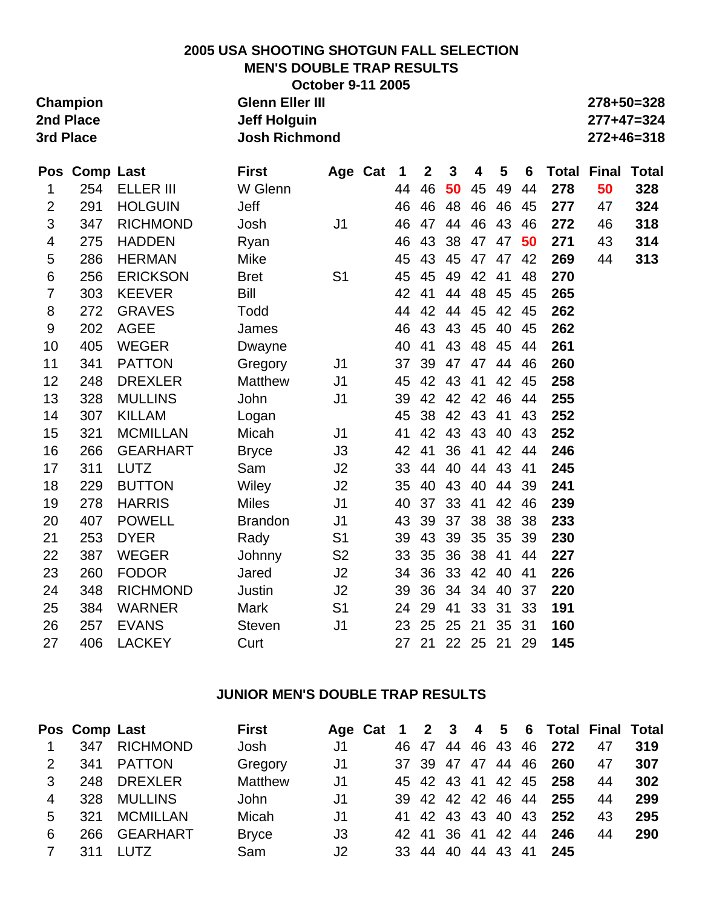#### **2005 USA SHOOTING SHOTGUN FALL SELECTION MEN'S DOUBLE TRAP RESULTS October 9-11 2005**

|           | <b>OCTODER 9-TT ZUUS</b> |            |
|-----------|--------------------------|------------|
| Champion  | <b>Glenn Eller III</b>   | 278+50=328 |
| 2nd Place | Jeff Holguin             | 277+47=324 |
| 3rd Place | <b>Josh Richmond</b>     | 272+46=318 |
|           |                          |            |

|                | Pos Comp Last |                  | <b>First</b>   |                | Age Cat | 1  | $\mathbf{2}$ | $\mathbf{3}$ | 4     | 5  | 6  |     | <b>Total Final</b> | <b>Total</b> |
|----------------|---------------|------------------|----------------|----------------|---------|----|--------------|--------------|-------|----|----|-----|--------------------|--------------|
| 1              | 254           | <b>ELLER III</b> | W Glenn        |                |         | 44 | 46           | 50           | 45    | 49 | 44 | 278 | 50                 | 328          |
| $\overline{2}$ | 291           | <b>HOLGUIN</b>   | Jeff           |                |         | 46 | 46           | 48           | 46    | 46 | 45 | 277 | 47                 | 324          |
| 3              | 347           | <b>RICHMOND</b>  | Josh           | J <sub>1</sub> |         | 46 | 47           | 44           | 46    | 43 | 46 | 272 | 46                 | 318          |
| 4              | 275           | <b>HADDEN</b>    | Ryan           |                |         | 46 | 43           | 38           | 47    | 47 | 50 | 271 | 43                 | 314          |
| 5              | 286           | <b>HERMAN</b>    | Mike           |                |         | 45 | 43           | 45           | 47    | 47 | 42 | 269 | 44                 | 313          |
| 6              | 256           | <b>ERICKSON</b>  | <b>Bret</b>    | S <sub>1</sub> |         | 45 | 45           | 49           | 42    | 41 | 48 | 270 |                    |              |
| $\overline{7}$ | 303           | <b>KEEVER</b>    | Bill           |                |         | 42 | 41           | 44           | 48    | 45 | 45 | 265 |                    |              |
| 8              | 272           | <b>GRAVES</b>    | Todd           |                |         | 44 | 42           | 44           | 45    | 42 | 45 | 262 |                    |              |
| 9              | 202           | <b>AGEE</b>      | James          |                |         | 46 | 43           | 43           | 45    | 40 | 45 | 262 |                    |              |
| 10             | 405           | <b>WEGER</b>     | Dwayne         |                |         | 40 | 41           | 43           | 48    | 45 | 44 | 261 |                    |              |
| 11             | 341           | <b>PATTON</b>    | Gregory        | J <sub>1</sub> |         | 37 | 39           | 47           | 47    | 44 | 46 | 260 |                    |              |
| 12             | 248           | <b>DREXLER</b>   | Matthew        | J <sub>1</sub> |         | 45 | 42           | 43           | 41    | 42 | 45 | 258 |                    |              |
| 13             | 328           | <b>MULLINS</b>   | John           | J <sub>1</sub> |         | 39 | 42           | 42           | 42    | 46 | 44 | 255 |                    |              |
| 14             | 307           | <b>KILLAM</b>    | Logan          |                |         | 45 | 38           | 42           | 43    | 41 | 43 | 252 |                    |              |
| 15             | 321           | <b>MCMILLAN</b>  | Micah          | J <sub>1</sub> |         | 41 | 42           | 43           | 43    | 40 | 43 | 252 |                    |              |
| 16             | 266           | <b>GEARHART</b>  | <b>Bryce</b>   | J3             |         | 42 | 41           | 36           | 41    | 42 | 44 | 246 |                    |              |
| 17             | 311           | <b>LUTZ</b>      | Sam            | J2             |         | 33 | 44           | 40           | 44    | 43 | 41 | 245 |                    |              |
| 18             | 229           | <b>BUTTON</b>    | Wiley          | J2             |         | 35 | 40           | 43           | 40    | 44 | 39 | 241 |                    |              |
| 19             | 278           | <b>HARRIS</b>    | <b>Miles</b>   | J <sub>1</sub> |         | 40 | 37           | 33           | 41    | 42 | 46 | 239 |                    |              |
| 20             | 407           | <b>POWELL</b>    | <b>Brandon</b> | J <sub>1</sub> |         | 43 | 39           | 37           | 38    | 38 | 38 | 233 |                    |              |
| 21             | 253           | <b>DYER</b>      | Rady           | S <sub>1</sub> |         | 39 | 43           | 39           | 35    | 35 | 39 | 230 |                    |              |
| 22             | 387           | <b>WEGER</b>     | Johnny         | S <sub>2</sub> |         | 33 | 35           | 36           | 38    | 41 | 44 | 227 |                    |              |
| 23             | 260           | <b>FODOR</b>     | Jared          | J2             |         | 34 | 36           | 33           | 42    | 40 | 41 | 226 |                    |              |
| 24             | 348           | <b>RICHMOND</b>  | Justin         | J2             |         | 39 | 36           | 34           | 34    | 40 | 37 | 220 |                    |              |
| 25             | 384           | <b>WARNER</b>    | Mark           | S <sub>1</sub> |         | 24 | 29           | 41           | 33    | 31 | 33 | 191 |                    |              |
| 26             | 257           | <b>EVANS</b>     | <b>Steven</b>  | J <sub>1</sub> |         | 23 | 25           | 25           | 21    | 35 | 31 | 160 |                    |              |
| 27             | 406           | <b>LACKEY</b>    | Curt           |                |         | 27 | 21           |              | 22 25 | 21 | 29 | 145 |                    |              |

## **JUNIOR MEN'S DOUBLE TRAP RESULTS**

|                |     | Pos Comp Last   | <b>First</b> |                |  |                   |  | Age Cat 1 2 3 4 5 6 Total Final Total |    |     |
|----------------|-----|-----------------|--------------|----------------|--|-------------------|--|---------------------------------------|----|-----|
| $\overline{1}$ | 347 | <b>RICHMOND</b> | Josh         | J1             |  |                   |  | 46 47 44 46 43 46 272                 | 47 | 319 |
| $\mathcal{P}$  |     | 341 PATTON      | Gregory      | J1             |  |                   |  | 37 39 47 47 44 46 260                 | 47 | 307 |
| 3              |     | 248 DREXLER     | Matthew      | J1             |  |                   |  | 45 42 43 41 42 45 258                 | 44 | 302 |
| 4              | 328 | <b>MULLINS</b>  | John         | J1             |  | 39 42 42 42 46 44 |  | 255                                   | 44 | 299 |
| 5              | 321 | <b>MCMILLAN</b> | Micah        | J <sub>1</sub> |  | 41 42 43 43 40 43 |  | 252                                   | 43 | 295 |
| 6              | 266 | GEARHART        | <b>Bryce</b> | J3             |  | 42 41 36 41 42 44 |  | 246                                   | 44 | 290 |
| 7              | 311 | LUTZ            | Sam          | J <sub>2</sub> |  |                   |  | 33 44 40 44 43 41 245                 |    |     |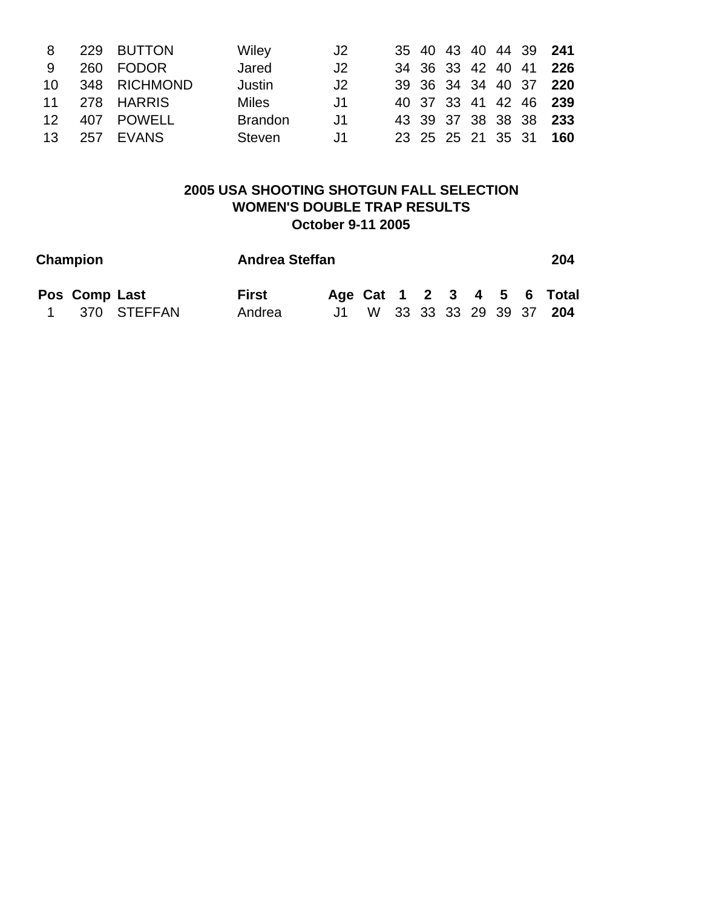| 8               | 229 BUTTON        | Wiley          | J2   |  |  |  | 35 40 43 40 44 39 241 |
|-----------------|-------------------|----------------|------|--|--|--|-----------------------|
| -9              | 260 FODOR         | Jared          | J2   |  |  |  | 34 36 33 42 40 41 226 |
|                 | 10 348 RICHMOND   | Justin         | J2   |  |  |  | 39 36 34 34 40 37 220 |
|                 | 11 278 HARRIS     | Miles          | J1   |  |  |  | 40 37 33 41 42 46 239 |
|                 | 12   407   POWELL | <b>Brandon</b> | J1   |  |  |  | 43 39 37 38 38 38 233 |
| 13 <sup>7</sup> | 257 EVANS         | Steven         | . J1 |  |  |  | 23 25 25 21 35 31 160 |

## **2005 USA SHOOTING SHOTGUN FALL SELECTION WOMEN'S DOUBLE TRAP RESULTS October 9-11 2005**

| Champion      |               | <b>Andrea Steffan</b> |  |  |  |  | 204                        |
|---------------|---------------|-----------------------|--|--|--|--|----------------------------|
| Pos Comp Last |               | <b>First</b>          |  |  |  |  | Age Cat 1 2 3 4 5 6 Total  |
|               | 1 370 STEFFAN | Andrea                |  |  |  |  | J1 W 33 33 33 29 39 37 204 |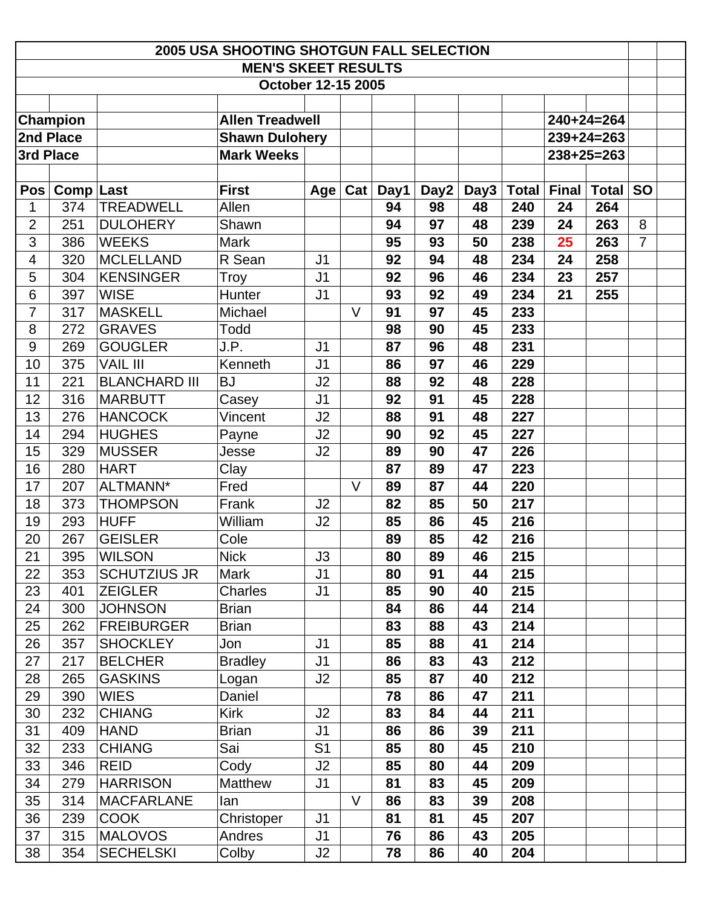| <b>2005 USA SHOOTING SHOTGUN FALL SELECTION</b><br><b>MEN'S SKEET RESULTS</b> |                  |                        |                    |                |                |      |      |      |              |              |              |                |  |
|-------------------------------------------------------------------------------|------------------|------------------------|--------------------|----------------|----------------|------|------|------|--------------|--------------|--------------|----------------|--|
|                                                                               |                  |                        |                    |                |                |      |      |      |              |              |              |                |  |
|                                                                               |                  |                        | October 12-15 2005 |                |                |      |      |      |              |              |              |                |  |
|                                                                               |                  |                        |                    |                |                |      |      |      |              |              |              |                |  |
| <b>Champion</b>                                                               |                  | <b>Allen Treadwell</b> |                    |                |                |      |      |      |              | $240+24=264$ |              |                |  |
| 2nd Place                                                                     |                  | <b>Shawn Dulohery</b>  |                    |                |                |      |      |      |              | $239+24=263$ |              |                |  |
| 3rd Place                                                                     |                  |                        | <b>Mark Weeks</b>  |                |                |      |      |      |              |              | $238+25=263$ |                |  |
|                                                                               |                  |                        |                    |                |                |      |      |      |              |              |              |                |  |
| <b>Pos</b>                                                                    | <b>Comp Last</b> |                        | <b>First</b>       | Age            | $\mathtt{Cat}$ | Day1 | Day2 | Day3 | <b>Total</b> | <b>Final</b> | <b>Total</b> | <b>SO</b>      |  |
| 1                                                                             | 374              | <b>TREADWELL</b>       | Allen              |                |                | 94   | 98   | 48   | 240          | 24           | 264          |                |  |
| $\overline{2}$                                                                | 251              | <b>DULOHERY</b>        | Shawn              |                |                | 94   | 97   | 48   | 239          | 24           | 263          | 8              |  |
| 3                                                                             | 386              | <b>WEEKS</b>           | Mark               |                |                | 95   | 93   | 50   | 238          | 25           | 263          | $\overline{7}$ |  |
| $\overline{\mathbf{4}}$                                                       | 320              | <b>MCLELLAND</b>       | R Sean             | J <sub>1</sub> |                | 92   | 94   | 48   | 234          | 24           | 258          |                |  |
| 5                                                                             | 304              | <b>KENSINGER</b>       | Troy               | J <sub>1</sub> |                | 92   | 96   | 46   | 234          | 23           | 257          |                |  |
| 6                                                                             | 397              | <b>WISE</b>            | Hunter             | J <sub>1</sub> |                | 93   | 92   | 49   | 234          | 21           | 255          |                |  |
| $\overline{7}$                                                                | 317              | <b>MASKELL</b>         | Michael            |                | $\vee$         | 91   | 97   | 45   | 233          |              |              |                |  |
| 8                                                                             | 272              | <b>GRAVES</b>          | Todd               |                |                | 98   | 90   | 45   | 233          |              |              |                |  |
| 9                                                                             | 269              | <b>GOUGLER</b>         | J.P.               | J1             |                | 87   | 96   | 48   | 231          |              |              |                |  |
| 10                                                                            | 375              | <b>VAIL III</b>        | Kenneth            | J <sub>1</sub> |                | 86   | 97   | 46   | 229          |              |              |                |  |
| 11                                                                            | 221              | <b>BLANCHARD III</b>   | <b>BJ</b>          | J2             |                | 88   | 92   | 48   | 228          |              |              |                |  |
| 12                                                                            | 316              | <b>MARBUTT</b>         | Casey              | J <sub>1</sub> |                | 92   | 91   | 45   | 228          |              |              |                |  |
| 13                                                                            | 276              | <b>HANCOCK</b>         | Vincent            | J2             |                | 88   | 91   | 48   | 227          |              |              |                |  |
| 14                                                                            | 294              | <b>HUGHES</b>          | Payne              | J2             |                | 90   | 92   | 45   | 227          |              |              |                |  |
| 15                                                                            | 329              | <b>MUSSER</b>          | Jesse              | J2             |                | 89   | 90   | 47   | 226          |              |              |                |  |
| 16                                                                            | 280              | <b>HART</b>            | Clay               |                |                | 87   | 89   | 47   | 223          |              |              |                |  |
| 17                                                                            | 207              | ALTMANN*               | Fred               |                | $\vee$         | 89   | 87   | 44   | 220          |              |              |                |  |
| 18                                                                            | 373              | <b>THOMPSON</b>        | Frank              | J <sub>2</sub> |                | 82   | 85   | 50   | 217          |              |              |                |  |
| 19                                                                            | 293              | <b>HUFF</b>            | William            | J2             |                | 85   | 86   | 45   | 216          |              |              |                |  |
| 20                                                                            | 267              | <b>GEISLER</b>         | Cole               |                |                | 89   | 85   | 42   | 216          |              |              |                |  |
| 21                                                                            | 395              | <b>WILSON</b>          | <b>Nick</b>        | J3             |                | 80   | 89   | 46   | 215          |              |              |                |  |
| 22                                                                            | 353              | <b>SCHUTZIUS JR</b>    | Mark               | J <sub>1</sub> |                | 80   | 91   | 44   | 215          |              |              |                |  |
| 23                                                                            | 401              | <b>ZEIGLER</b>         | <b>Charles</b>     | J1             |                | 85   | 90   | 40   | 215          |              |              |                |  |
| 24                                                                            | 300              | <b>JOHNSON</b>         | <b>Brian</b>       |                |                | 84   | 86   | 44   | 214          |              |              |                |  |
| 25                                                                            | 262              | <b>FREIBURGER</b>      | <b>Brian</b>       |                |                | 83   | 88   | 43   | 214          |              |              |                |  |
| 26                                                                            | 357              | <b>SHOCKLEY</b>        | Jon                | J <sub>1</sub> |                | 85   | 88   | 41   | 214          |              |              |                |  |
| 27                                                                            | 217              | <b>BELCHER</b>         | <b>Bradley</b>     | J <sub>1</sub> |                | 86   | 83   | 43   | 212          |              |              |                |  |
| 28                                                                            | 265              | <b>GASKINS</b>         | Logan              | J2             |                | 85   | 87   | 40   | 212          |              |              |                |  |
| 29                                                                            | 390              | <b>WIES</b>            | Daniel             |                |                | 78   | 86   | 47   | 211          |              |              |                |  |
| 30                                                                            | 232              | <b>CHIANG</b>          | <b>Kirk</b>        | J2             |                | 83   | 84   | 44   | 211          |              |              |                |  |
| 31                                                                            | 409              | <b>HAND</b>            | <b>Brian</b>       | J <sub>1</sub> |                | 86   | 86   | 39   | 211          |              |              |                |  |
| 32                                                                            | 233              | <b>CHIANG</b>          | Sai                | S <sub>1</sub> |                | 85   | 80   | 45   | 210          |              |              |                |  |
| 33                                                                            | 346              | <b>REID</b>            | Cody               | J2             |                | 85   | 80   | 44   | 209          |              |              |                |  |
| 34                                                                            | 279              | <b>HARRISON</b>        | Matthew            | J <sub>1</sub> |                | 81   | 83   | 45   | 209          |              |              |                |  |
| 35                                                                            | 314              | <b>MACFARLANE</b>      | lan                |                | $\vee$         | 86   | 83   | 39   | 208          |              |              |                |  |
| 36                                                                            | 239              | <b>COOK</b>            | Christoper         | J <sub>1</sub> |                | 81   | 81   | 45   | 207          |              |              |                |  |
| 37                                                                            | 315              | <b>MALOVOS</b>         | Andres             | J <sub>1</sub> |                | 76   | 86   | 43   | 205          |              |              |                |  |
| 38                                                                            | 354              | <b>SECHELSKI</b>       | Colby              | J2             |                | 78   | 86   | 40   | 204          |              |              |                |  |
|                                                                               |                  |                        |                    |                |                |      |      |      |              |              |              |                |  |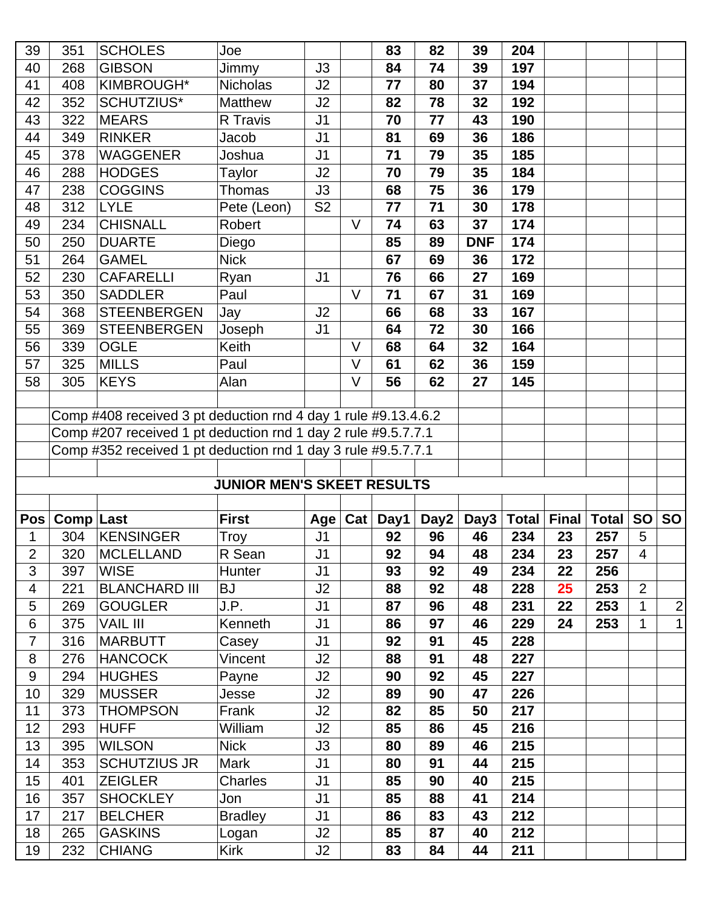| 39             | 351                                                            | <b>SCHOLES</b>                                                | Joe                               |                |                | 83       | 82       | 39         | 204        |                    |              |              |              |
|----------------|----------------------------------------------------------------|---------------------------------------------------------------|-----------------------------------|----------------|----------------|----------|----------|------------|------------|--------------------|--------------|--------------|--------------|
| 40             | 268                                                            | <b>GIBSON</b>                                                 | Jimmy                             | J3             |                | 84       | 74       | 39         | 197        |                    |              |              |              |
| 41             | 408                                                            | KIMBROUGH*                                                    | <b>Nicholas</b>                   | J2             |                | 77       | 80       | 37         | 194        |                    |              |              |              |
| 42             | 352                                                            | SCHUTZIUS*                                                    | <b>Matthew</b>                    | J2             |                | 82       | 78       | 32         | 192        |                    |              |              |              |
| 43             | 322                                                            | <b>MEARS</b>                                                  | R Travis                          | J <sub>1</sub> |                | 70       | 77       | 43         | 190        |                    |              |              |              |
| 44             | 349                                                            | <b>RINKER</b>                                                 | Jacob                             | J <sub>1</sub> |                | 81       | 69       | 36         | 186        |                    |              |              |              |
| 45             | 378                                                            | <b>WAGGENER</b>                                               | Joshua                            | J <sub>1</sub> |                | 71       | 79       | 35         | 185        |                    |              |              |              |
| 46             | 288                                                            | <b>HODGES</b>                                                 | Taylor                            | J2             |                | 70       | 79       | 35         | 184        |                    |              |              |              |
| 47             | 238                                                            | <b>COGGINS</b>                                                | Thomas                            | J3             |                | 68       | 75       | 36         | 179        |                    |              |              |              |
| 48             | 312                                                            | <b>LYLE</b>                                                   | Pete (Leon)                       | S <sub>2</sub> |                | 77       | 71       | 30         | 178        |                    |              |              |              |
| 49             | 234                                                            | <b>CHISNALL</b>                                               | Robert                            |                | $\vee$         | 74       | 63       | 37         | 174        |                    |              |              |              |
| 50             | 250                                                            | <b>DUARTE</b>                                                 | Diego                             |                |                | 85       | 89       | <b>DNF</b> | 174        |                    |              |              |              |
| 51             | 264                                                            | <b>GAMEL</b>                                                  | <b>Nick</b>                       |                |                | 67       | 69       | 36         | 172        |                    |              |              |              |
| 52             | 230                                                            | <b>CAFARELLI</b>                                              | Ryan                              | J <sub>1</sub> |                | 76       | 66       | 27         | 169        |                    |              |              |              |
| 53             | 350                                                            | <b>SADDLER</b>                                                | Paul                              |                | $\vee$         | 71       | 67       | 31         | 169        |                    |              |              |              |
| 54             | 368                                                            | <b>STEENBERGEN</b>                                            | Jay                               | J2             |                | 66       | 68       | 33         | 167        |                    |              |              |              |
| 55             | 369                                                            | <b>STEENBERGEN</b>                                            | Joseph                            | J <sub>1</sub> |                | 64       | 72       | 30         | 166        |                    |              |              |              |
| 56             | 339                                                            | <b>OGLE</b>                                                   | Keith                             |                | $\vee$         | 68       | 64       | 32         | 164        |                    |              |              |              |
| 57             | 325                                                            | <b>MILLS</b>                                                  | Paul                              |                | $\vee$         | 61       | 62       | 36         | 159        |                    |              |              |              |
| 58             | 305                                                            | <b>KEYS</b>                                                   | Alan                              |                | $\vee$         | 56       | 62       | 27         | 145        |                    |              |              |              |
|                |                                                                |                                                               |                                   |                |                |          |          |            |            |                    |              |              |              |
|                | Comp #408 received 3 pt deduction rnd 4 day 1 rule #9.13.4.6.2 |                                                               |                                   |                |                |          |          |            |            |                    |              |              |              |
|                | Comp #207 received 1 pt deduction rnd 1 day 2 rule #9.5.7.7.1  |                                                               |                                   |                |                |          |          |            |            |                    |              |              |              |
|                |                                                                | Comp #352 received 1 pt deduction rnd 1 day 3 rule #9.5.7.7.1 |                                   |                |                |          |          |            |            |                    |              |              |              |
|                |                                                                |                                                               |                                   |                |                |          |          |            |            |                    |              |              |              |
|                |                                                                |                                                               |                                   |                |                |          |          |            |            |                    |              |              |              |
|                |                                                                |                                                               | <b>JUNIOR MEN'S SKEET RESULTS</b> |                |                |          |          |            |            |                    |              |              |              |
|                |                                                                |                                                               |                                   |                |                |          |          |            |            |                    |              |              |              |
| Pos            | Comp Last                                                      |                                                               | <b>First</b>                      | Age            | $\mathsf{Cat}$ | Day1     | Day2     | Day3       |            | <b>Total Final</b> | <b>Total</b> | <b>SO</b>    | <b>SO</b>    |
| 1              | 304                                                            | <b>KENSINGER</b>                                              | Troy                              | J <sub>1</sub> |                | 92       | 96       | 46         | 234        | 23                 | 257          | 5            |              |
| $\overline{2}$ | 320                                                            | MCLELLAND                                                     | R Sean                            | J1             |                | 92       | 94       | 48         | 234        | 23                 | 257          | 4            |              |
| 3              | 397                                                            | <b>WISE</b>                                                   | Hunter                            | J <sub>1</sub> |                | 93       | 92       | 49         | 234        | 22                 | 256          |              |              |
| 4              | 221                                                            | <b>BLANCHARD III</b>                                          | <b>BJ</b>                         | J2             |                | 88       | 92       | 48         | 228        | 25                 | 253          | 2            |              |
| 5              | 269                                                            | <b>GOUGLER</b>                                                | J.P.                              | J <sub>1</sub> |                | 87       | 96       | 48         | 231        | 22                 | 253          | 1            | $\mathbf{2}$ |
| 6              | 375                                                            | <b>VAIL III</b>                                               | Kenneth                           | J1             |                | 86       | 97       | 46         | 229        | 24                 | 253          | $\mathbf{1}$ | 1            |
| $\overline{7}$ | 316                                                            | <b>MARBUTT</b>                                                | Casey                             | J <sub>1</sub> |                | 92       | 91       | 45         | 228        |                    |              |              |              |
| 8              | 276                                                            | <b>HANCOCK</b>                                                | Vincent                           | J2             |                | 88       | 91       | 48         | 227        |                    |              |              |              |
| 9              | 294                                                            | <b>HUGHES</b>                                                 | Payne                             | J2             |                | 90       | 92       | 45         | 227        |                    |              |              |              |
| 10             | 329                                                            | <b>MUSSER</b>                                                 | Jesse                             | J2             |                | 89       | 90       | 47         | 226        |                    |              |              |              |
| 11             | 373                                                            | <b>THOMPSON</b>                                               | Frank                             | J2             |                | 82       | 85       | 50         | 217        |                    |              |              |              |
| 12             | 293                                                            | <b>HUFF</b>                                                   | William                           | J2             |                | 85       | 86       | 45         | 216        |                    |              |              |              |
| 13             | 395                                                            | <b>WILSON</b>                                                 | <b>Nick</b>                       | J3             |                | 80       | 89       | 46         | 215        |                    |              |              |              |
| 14             | 353                                                            | <b>SCHUTZIUS JR</b>                                           | Mark                              | J <sub>1</sub> |                | 80       | 91       | 44         | 215        |                    |              |              |              |
| 15             | 401                                                            | <b>ZEIGLER</b>                                                | Charles                           | J <sub>1</sub> |                | 85       | 90       | 40         | 215        |                    |              |              |              |
| 16             | 357                                                            | <b>SHOCKLEY</b>                                               | Jon                               | J <sub>1</sub> |                | 85       | 88       | 41         | 214        |                    |              |              |              |
| 17             | 217                                                            | <b>BELCHER</b>                                                | <b>Bradley</b>                    | J <sub>1</sub> |                | 86       | 83       | 43         | 212        |                    |              |              |              |
| 18<br>19       | 265<br>232                                                     | <b>GASKINS</b><br><b>CHIANG</b>                               | Logan<br>Kirk                     | J2<br>J2       |                | 85<br>83 | 87<br>84 | 40<br>44   | 212<br>211 |                    |              |              |              |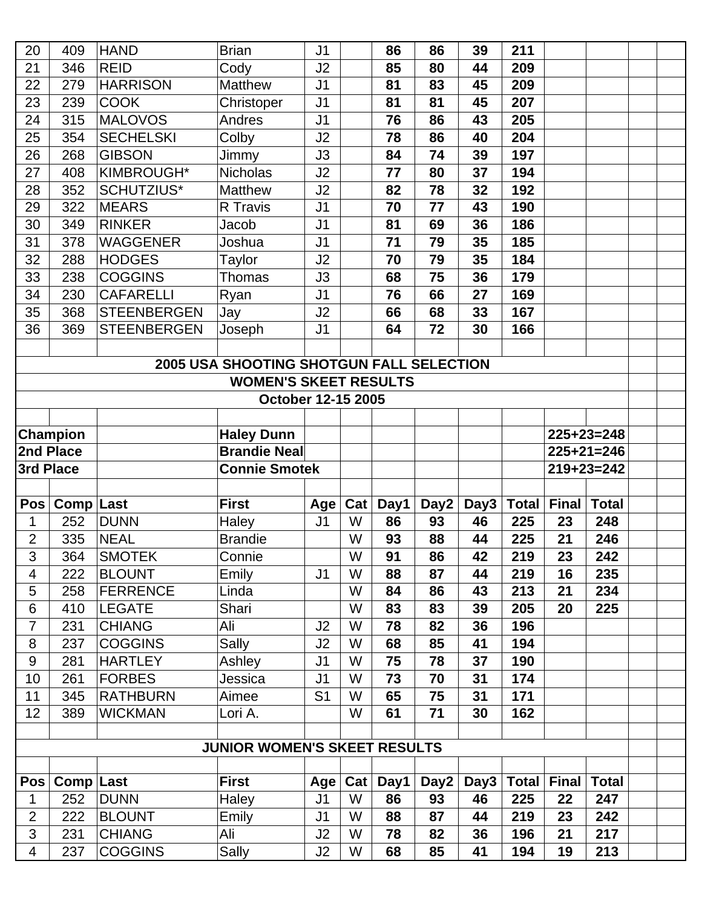| $225+23=248$                                           |
|--------------------------------------------------------|
| $225+21=246$                                           |
| $219+23=242$                                           |
|                                                        |
|                                                        |
|                                                        |
|                                                        |
|                                                        |
|                                                        |
|                                                        |
|                                                        |
|                                                        |
|                                                        |
|                                                        |
|                                                        |
|                                                        |
|                                                        |
|                                                        |
|                                                        |
|                                                        |
| <b>Total</b>                                           |
| 247                                                    |
| 242                                                    |
| 217                                                    |
| <b>Total</b><br>248<br>246<br>242<br>235<br>234<br>225 |